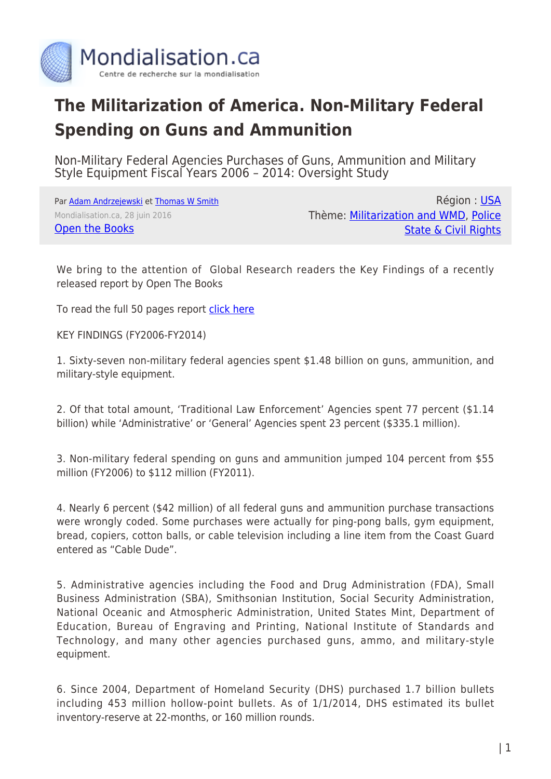

## **The Militarization of America. Non-Military Federal Spending on Guns and Ammunition**

Non-Military Federal Agencies Purchases of Guns, Ammunition and Military Style Equipment Fiscal Years 2006 – 2014: Oversight Study

Par [Adam Andrzejewski](https://www.mondialisation.ca/author/andrzejewski) et [Thomas W Smith](https://www.mondialisation.ca/author/thomasw) Mondialisation.ca, 28 juin 2016 [Open the Books](https://www.openthebooks.com/assets/1/7/Oversight_TheMilitarizationOfAmerica_06102016.pdf)

Région : [USA](https://www.mondialisation.ca/region/usa) Thème: [Militarization and WMD,](https://www.mondialisation.ca/theme/militarization-and-wmd) [Police](https://www.mondialisation.ca/theme/police-state-civil-rights) [State & Civil Rights](https://www.mondialisation.ca/theme/police-state-civil-rights)

We bring to the attention of Global Research readers the Key Findings of a recently released report by Open The Books

To read the full 50 pages report [click here](https://www.openthebooks.com/assets/1/7/Oversight_TheMilitarizationOfAmerica_06102016.pdf)

KEY FINDINGS (FY2006-FY2014)

1. Sixty-seven non-military federal agencies spent \$1.48 billion on guns, ammunition, and military-style equipment.

2. Of that total amount, 'Traditional Law Enforcement' Agencies spent 77 percent (\$1.14 billion) while 'Administrative' or 'General' Agencies spent 23 percent (\$335.1 million).

3. Non-military federal spending on guns and ammunition jumped 104 percent from \$55 million (FY2006) to \$112 million (FY2011).

4. Nearly 6 percent (\$42 million) of all federal guns and ammunition purchase transactions were wrongly coded. Some purchases were actually for ping-pong balls, gym equipment, bread, copiers, cotton balls, or cable television including a line item from the Coast Guard entered as "Cable Dude".

5. Administrative agencies including the Food and Drug Administration (FDA), Small Business Administration (SBA), Smithsonian Institution, Social Security Administration, National Oceanic and Atmospheric Administration, United States Mint, Department of Education, Bureau of Engraving and Printing, National Institute of Standards and Technology, and many other agencies purchased guns, ammo, and military-style equipment.

6. Since 2004, Department of Homeland Security (DHS) purchased 1.7 billion bullets including 453 million hollow-point bullets. As of 1/1/2014, DHS estimated its bullet inventory-reserve at 22-months, or 160 million rounds.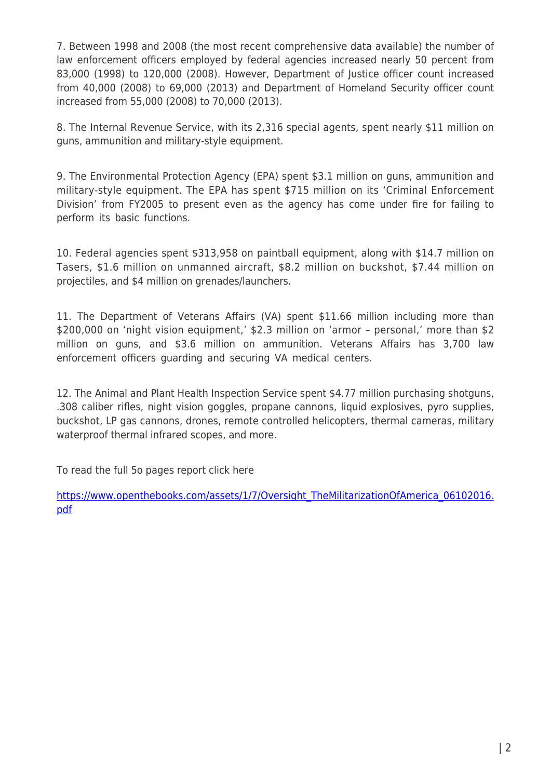7. Between 1998 and 2008 (the most recent comprehensive data available) the number of law enforcement officers employed by federal agencies increased nearly 50 percent from 83,000 (1998) to 120,000 (2008). However, Department of Justice officer count increased from 40,000 (2008) to 69,000 (2013) and Department of Homeland Security officer count increased from 55,000 (2008) to 70,000 (2013).

8. The Internal Revenue Service, with its 2,316 special agents, spent nearly \$11 million on guns, ammunition and military-style equipment.

9. The Environmental Protection Agency (EPA) spent \$3.1 million on guns, ammunition and military-style equipment. The EPA has spent \$715 million on its 'Criminal Enforcement Division' from FY2005 to present even as the agency has come under fire for failing to perform its basic functions.

10. Federal agencies spent \$313,958 on paintball equipment, along with \$14.7 million on Tasers, \$1.6 million on unmanned aircraft, \$8.2 million on buckshot, \$7.44 million on projectiles, and \$4 million on grenades/launchers.

11. The Department of Veterans Affairs (VA) spent \$11.66 million including more than \$200,000 on 'night vision equipment,' \$2.3 million on 'armor – personal,' more than \$2 million on guns, and \$3.6 million on ammunition. Veterans Affairs has 3,700 law enforcement officers guarding and securing VA medical centers.

12. The Animal and Plant Health Inspection Service spent \$4.77 million purchasing shotguns, .308 caliber rifles, night vision goggles, propane cannons, liquid explosives, pyro supplies, buckshot, LP gas cannons, drones, remote controlled helicopters, thermal cameras, military waterproof thermal infrared scopes, and more.

To read the full 5o pages report click here

[https://www.openthebooks.com/assets/1/7/Oversight\\_TheMilitarizationOfAmerica\\_06102016.](https://www.openthebooks.com/assets/1/7/Oversight_TheMilitarizationOfAmerica_06102016.pdf) [pdf](https://www.openthebooks.com/assets/1/7/Oversight_TheMilitarizationOfAmerica_06102016.pdf)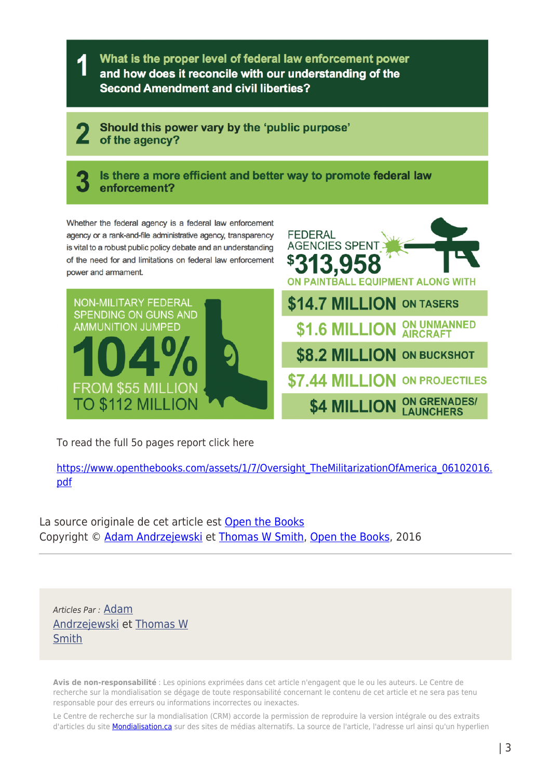What is the proper level of federal law enforcement power 1 and how does it reconcile with our understanding of the **Second Amendment and civil liberties?** 

Should this power vary by the 'public purpose' ◢ of the agency?

Is there a more efficient and better way to promote federal law enforcement?

Whether the federal agency is a federal law enforcement agency or a rank-and-file administrative agency, transparency is vital to a robust public policy debate and an understanding of the need for and limitations on federal law enforcement power and armament.





To read the full 5o pages report click here

[https://www.openthebooks.com/assets/1/7/Oversight\\_TheMilitarizationOfAmerica\\_06102016.](https://www.openthebooks.com/assets/1/7/Oversight_TheMilitarizationOfAmerica_06102016.pdf) [pdf](https://www.openthebooks.com/assets/1/7/Oversight_TheMilitarizationOfAmerica_06102016.pdf)

La source originale de cet article est [Open the Books](https://www.openthebooks.com/assets/1/7/Oversight_TheMilitarizationOfAmerica_06102016.pdf) Copyright © [Adam Andrzejewski](https://www.mondialisation.ca/author/andrzejewski) et [Thomas W Smith](https://www.mondialisation.ca/author/thomasw), [Open the Books](https://www.openthebooks.com/assets/1/7/Oversight_TheMilitarizationOfAmerica_06102016.pdf), 2016

Articles Par : [Adam](https://www.mondialisation.ca/author/andrzejewski) [Andrzejewski](https://www.mondialisation.ca/author/andrzejewski) et [Thomas W](https://www.mondialisation.ca/author/thomasw) [Smith](https://www.mondialisation.ca/author/thomasw)

**Avis de non-responsabilité** : Les opinions exprimées dans cet article n'engagent que le ou les auteurs. Le Centre de recherche sur la mondialisation se dégage de toute responsabilité concernant le contenu de cet article et ne sera pas tenu responsable pour des erreurs ou informations incorrectes ou inexactes.

Le Centre de recherche sur la mondialisation (CRM) accorde la permission de reproduire la version intégrale ou des extraits d'articles du site [Mondialisation.ca](https://mondialisation.ca) sur des sites de médias alternatifs. La source de l'article, l'adresse url ainsi qu'un hyperlien